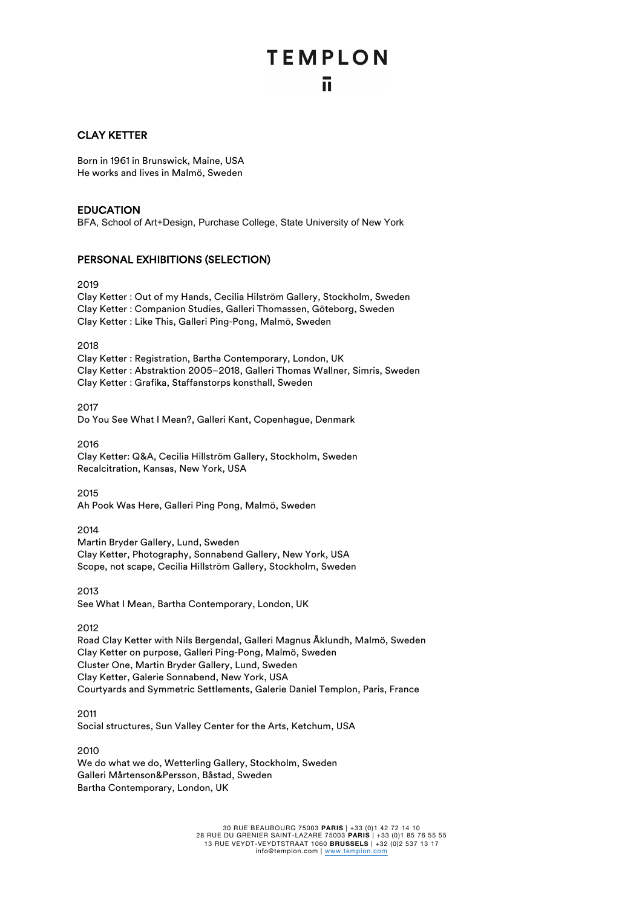# **TEMPLON** īī.

## CLAY KETTER

Born in 1961 in Brunswick, Maine, USA He works and lives in Malmö, Sweden

## EDUCATION

BFA, School of Art+Design, Purchase College, State University of New York

## PERSONAL EXHIBITIONS (SELECTION)

2019

Clay Ketter : Out of my Hands, Cecilia Hilström Gallery, Stockholm, Sweden Clay Ketter : Companion Studies, Galleri Thomassen, Göteborg, Sweden Clay Ketter : Like This, Galleri Ping-Pong, Malmö, Sweden

2018

Clay Ketter : Registration, Bartha Contemporary, London, UK Clay Ketter : Abstraktion 2005–2018, Galleri Thomas Wallner, Simris, Sweden Clay Ketter : Grafika, Staffanstorps konsthall, Sweden

2017

Do You See What I Mean?, Galleri Kant, Copenhague, Denmark

2016 Clay Ketter: Q&A, Cecilia Hillström Gallery, Stockholm, Sweden Recalcitration, Kansas, New York, USA

2015

Ah Pook Was Here, Galleri Ping Pong, Malmö, Sweden

2014

Martin Bryder Gallery, Lund, Sweden Clay Ketter, Photography, Sonnabend Gallery, New York, USA Scope, not scape, Cecilia Hillström Gallery, Stockholm, Sweden

2013 See What I Mean, Bartha Contemporary, London, UK

2012

Road Clay Ketter with Nils Bergendal, Galleri Magnus Åklundh, Malmö, Sweden Clay Ketter on purpose, Galleri Ping-Pong, Malmö, Sweden Cluster One, Martin Bryder Gallery, Lund, Sweden Clay Ketter, Galerie Sonnabend, New York, USA Courtyards and Symmetric Settlements, Galerie Daniel Templon, Paris, France

2011

Social structures, Sun Valley Center for the Arts, Ketchum, USA

2010

We do what we do, Wetterling Gallery, Stockholm, Sweden Galleri Mårtenson&Persson, Båstad, Sweden Bartha Contemporary, London, UK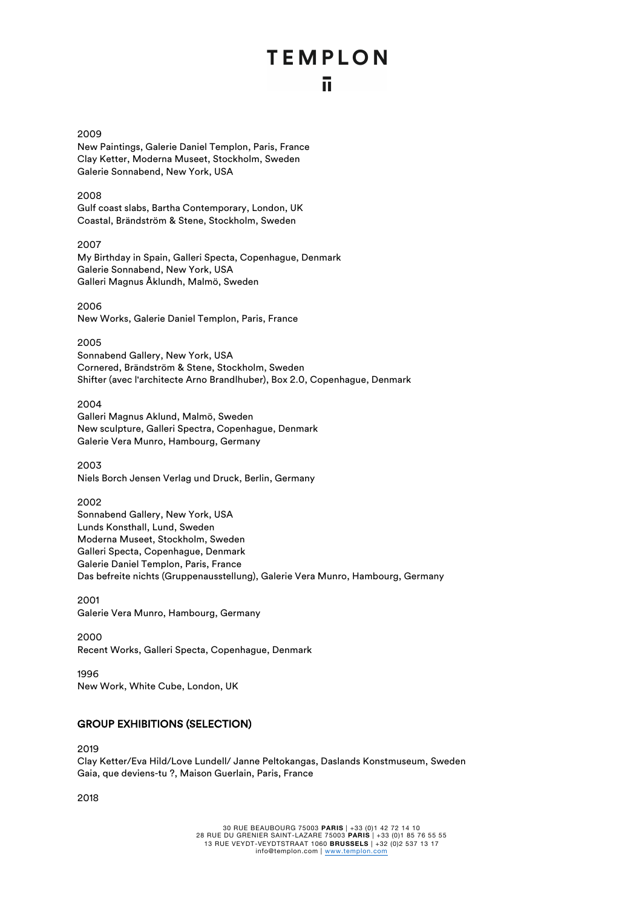# **TEMPLON**

## ū.

2009 New Paintings, Galerie Daniel Templon, Paris, France Clay Ketter, Moderna Museet, Stockholm, Sweden Galerie Sonnabend, New York, USA

2008 Gulf coast slabs, Bartha Contemporary, London, UK Coastal, Brändström & Stene, Stockholm, Sweden

2007 My Birthday in Spain, Galleri Specta, Copenhague, Denmark Galerie Sonnabend, New York, USA Galleri Magnus Åklundh, Malmö, Sweden

2006 New Works, Galerie Daniel Templon, Paris, France

2005

Sonnabend Gallery, New York, USA Cornered, Brändström & Stene, Stockholm, Sweden Shifter (avec l'architecte Arno Brandlhuber), Box 2.0, Copenhague, Denmark

2004 Galleri Magnus Aklund, Malmö, Sweden New sculpture, Galleri Spectra, Copenhague, Denmark Galerie Vera Munro, Hambourg, Germany

2003 Niels Borch Jensen Verlag und Druck, Berlin, Germany

2002

Sonnabend Gallery, New York, USA Lunds Konsthall, Lund, Sweden Moderna Museet, Stockholm, Sweden Galleri Specta, Copenhague, Denmark Galerie Daniel Templon, Paris, France Das befreite nichts (Gruppenausstellung), Galerie Vera Munro, Hambourg, Germany

2001 Galerie Vera Munro, Hambourg, Germany

2000 Recent Works, Galleri Specta, Copenhague, Denmark

1996 New Work, White Cube, London, UK

## GROUP EXHIBITIONS (SELECTION)

2019 Clay Ketter/Eva Hild/Love Lundell/ Janne Peltokangas, Daslands Konstmuseum, Sweden Gaia, que deviens-tu ?, Maison Guerlain, Paris, France

2018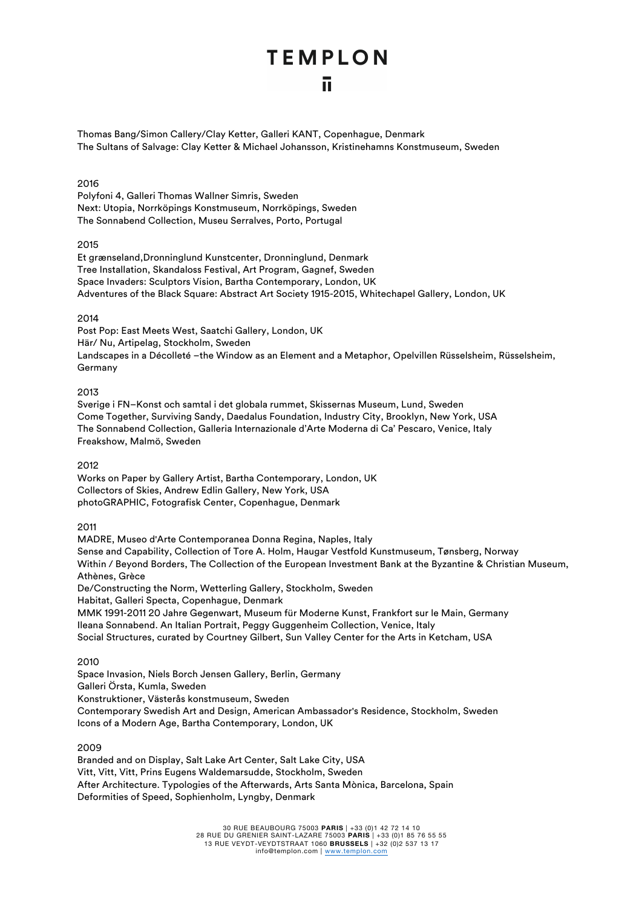## **TEMPLON** ū

Thomas Bang/Simon Callery/Clay Ketter, Galleri KANT, Copenhague, Denmark The Sultans of Salvage: Clay Ketter & Michael Johansson, Kristinehamns Konstmuseum, Sweden

## 2016

Polyfoni 4, Galleri Thomas Wallner Simris, Sweden Next: Utopia, Norrköpings Konstmuseum, Norrköpings, Sweden The Sonnabend Collection, Museu Serralves, Porto, Portugal

## 2015

Et grænseland,Dronninglund Kunstcenter, Dronninglund, Denmark Tree Installation, Skandaloss Festival, Art Program, Gagnef, Sweden Space Invaders: Sculptors Vision, Bartha Contemporary, London, UK Adventures of the Black Square: Abstract Art Society 1915-2015, Whitechapel Gallery, London, UK

## 2014

Post Pop: East Meets West, Saatchi Gallery, London, UK Här/ Nu, Artipelag, Stockholm, Sweden Landscapes in a Décolleté –the Window as an Element and a Metaphor, Opelvillen Rüsselsheim, Rüsselsheim, Germany

## 2013

Sverige i FN–Konst och samtal i det globala rummet, Skissernas Museum, Lund, Sweden Come Together, Surviving Sandy, Daedalus Foundation, Industry City, Brooklyn, New York, USA The Sonnabend Collection, Galleria Internazionale d'Arte Moderna di Ca' Pescaro, Venice, Italy Freakshow, Malmö, Sweden

## 2012

Works on Paper by Gallery Artist, Bartha Contemporary, London, UK Collectors of Skies, Andrew Edlin Gallery, New York, USA photoGRAPHIC, Fotografisk Center, Copenhague, Denmark

## 2011

MADRE, Museo d'Arte Contemporanea Donna Regina, Naples, Italy Sense and Capability, Collection of Tore A. Holm, Haugar Vestfold Kunstmuseum, Tønsberg, Norway Within / Beyond Borders, The Collection of the European Investment Bank at the Byzantine & Christian Museum, Athènes, Grèce De/Constructing the Norm, Wetterling Gallery, Stockholm, Sweden

Habitat, Galleri Specta, Copenhague, Denmark

MMK 1991-2011 20 Jahre Gegenwart, Museum für Moderne Kunst, Frankfort sur le Main, Germany Ileana Sonnabend. An Italian Portrait, Peggy Guggenheim Collection, Venice, Italy Social Structures, curated by Courtney Gilbert, Sun Valley Center for the Arts in Ketcham, USA

## 2010

Space Invasion, Niels Borch Jensen Gallery, Berlin, Germany Galleri Örsta, Kumla, Sweden Konstruktioner, Västerås konstmuseum, Sweden Contemporary Swedish Art and Design, American Ambassador's Residence, Stockholm, Sweden Icons of a Modern Age, Bartha Contemporary, London, UK

## 2009

Branded and on Display, Salt Lake Art Center, Salt Lake City, USA Vitt, Vitt, Vitt, Prins Eugens Waldemarsudde, Stockholm, Sweden After Architecture. Typologies of the Afterwards, Arts Santa Mònica, Barcelona, Spain Deformities of Speed, Sophienholm, Lyngby, Denmark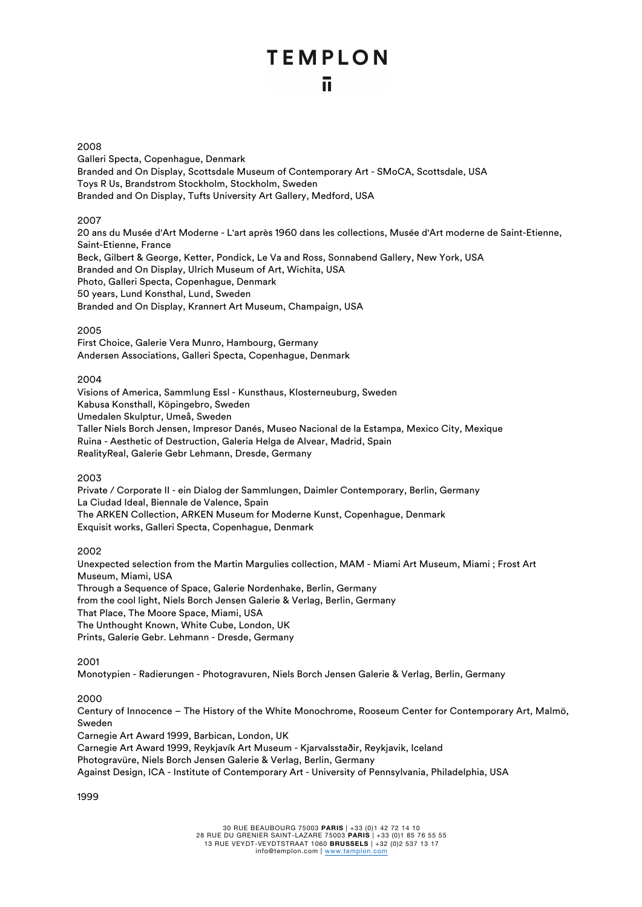# **TEMPLON**

## īī.

#### 2008

Galleri Specta, Copenhague, Denmark Branded and On Display, Scottsdale Museum of Contemporary Art - SMoCA, Scottsdale, USA Toys R Us, Brandstrom Stockholm, Stockholm, Sweden Branded and On Display, Tufts University Art Gallery, Medford, USA

## 2007

20 ans du Musée d'Art Moderne - L'art après 1960 dans les collections, Musée d'Art moderne de Saint-Etienne, Saint-Etienne, France Beck, Gilbert & George, Ketter, Pondick, Le Va and Ross, Sonnabend Gallery, New York, USA Branded and On Display, Ulrich Museum of Art, Wichita, USA Photo, Galleri Specta, Copenhague, Denmark 50 years, Lund Konsthal, Lund, Sweden Branded and On Display, Krannert Art Museum, Champaign, USA

## 2005

First Choice, Galerie Vera Munro, Hambourg, Germany Andersen Associations, Galleri Specta, Copenhague, Denmark

## 2004

Visions of America, Sammlung Essl - Kunsthaus, Klosterneuburg, Sweden Kabusa Konsthall, Köpingebro, Sweden Umedalen Skulptur, Umeå, Sweden Taller Niels Borch Jensen, Impresor Danés, Museo Nacional de la Estampa, Mexico City, Mexique Ruina - Aesthetic of Destruction, Galeria Helga de Alvear, Madrid, Spain RealityReal, Galerie Gebr Lehmann, Dresde, Germany

## 2003

Private / Corporate II - ein Dialog der Sammlungen, Daimler Contemporary, Berlin, Germany La Ciudad Ideal, Biennale de Valence, Spain The ARKEN Collection, ARKEN Museum for Moderne Kunst, Copenhague, Denmark Exquisit works, Galleri Specta, Copenhague, Denmark

## 2002

Unexpected selection from the Martin Margulies collection, MAM - Miami Art Museum, Miami ; Frost Art Museum, Miami, USA Through a Sequence of Space, Galerie Nordenhake, Berlin, Germany from the cool light, Niels Borch Jensen Galerie & Verlag, Berlin, Germany That Place, The Moore Space, Miami, USA The Unthought Known, White Cube, London, UK Prints, Galerie Gebr. Lehmann - Dresde, Germany

## 2001

Monotypien - Radierungen - Photogravuren, Niels Borch Jensen Galerie & Verlag, Berlin, Germany

## 2000

Century of Innocence – The History of the White Monochrome, Rooseum Center for Contemporary Art, Malmö, Sweden

Carnegie Art Award 1999, Barbican, London, UK

Carnegie Art Award 1999, Reykjavík Art Museum - Kjarvalsstaðir, Reykjavik, Iceland

Photogravüre, Niels Borch Jensen Galerie & Verlag, Berlin, Germany

Against Design, ICA - Institute of Contemporary Art - University of Pennsylvania, Philadelphia, USA

#### 1999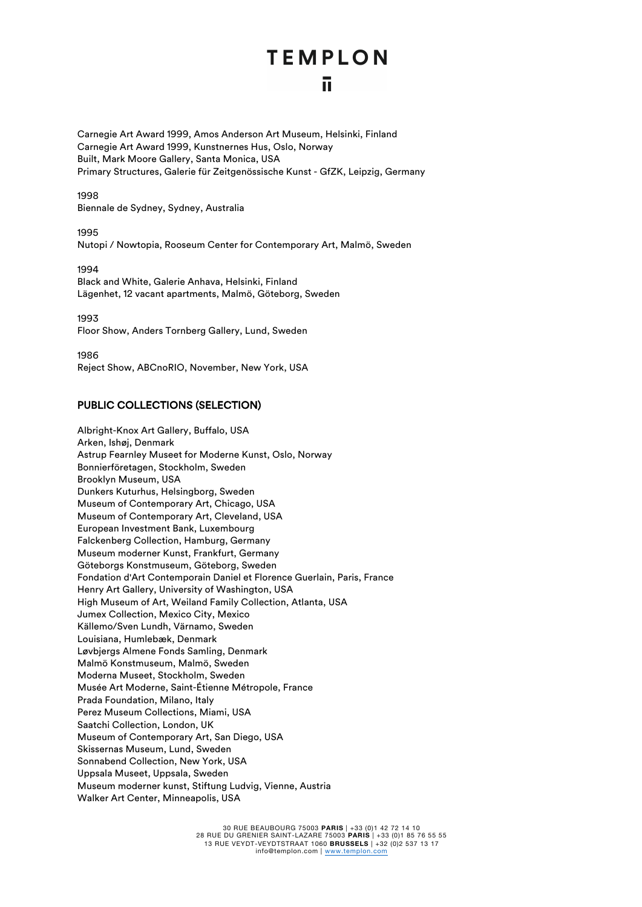## **TEMPLON** īī.

Carnegie Art Award 1999, Amos Anderson Art Museum, Helsinki, Finland Carnegie Art Award 1999, Kunstnernes Hus, Oslo, Norway Built, Mark Moore Gallery, Santa Monica, USA Primary Structures, Galerie für Zeitgenössische Kunst - GfZK, Leipzig, Germany

1998 Biennale de Sydney, Sydney, Australia

1995 Nutopi / Nowtopia, Rooseum Center for Contemporary Art, Malmö, Sweden

1994 Black and White, Galerie Anhava, Helsinki, Finland Lägenhet, 12 vacant apartments, Malmö, Göteborg, Sweden

1993 Floor Show, Anders Tornberg Gallery, Lund, Sweden

1986 Reject Show, ABCnoRIO, November, New York, USA

## PUBLIC COLLECTIONS (SELECTION)

Albright-Knox Art Gallery, Buffalo, USA Arken, Ishøj, Denmark Astrup Fearnley Museet for Moderne Kunst, Oslo, Norway Bonnierföretagen, Stockholm, Sweden Brooklyn Museum, USA Dunkers Kuturhus, Helsingborg, Sweden Museum of Contemporary Art, Chicago, USA Museum of Contemporary Art, Cleveland, USA European Investment Bank, Luxembourg Falckenberg Collection, Hamburg, Germany Museum moderner Kunst, Frankfurt, Germany Göteborgs Konstmuseum, Göteborg, Sweden Fondation d'Art Contemporain Daniel et Florence Guerlain, Paris, France Henry Art Gallery, University of Washington, USA High Museum of Art, Weiland Family Collection, Atlanta, USA Jumex Collection, Mexico City, Mexico Källemo/Sven Lundh, Värnamo, Sweden Louisiana, Humlebæk, Denmark Løvbjergs Almene Fonds Samling, Denmark Malmö Konstmuseum, Malmö, Sweden Moderna Museet, Stockholm, Sweden Musée Art Moderne, Saint-Étienne Métropole, France Prada Foundation, Milano, Italy Perez Museum Collections, Miami, USA Saatchi Collection, London, UK Museum of Contemporary Art, San Diego, USA Skissernas Museum, Lund, Sweden Sonnabend Collection, New York, USA Uppsala Museet, Uppsala, Sweden Museum moderner kunst, Stiftung Ludvig, Vienne, Austria Walker Art Center, Minneapolis, USA

> 30 RUE BEAUBOURG 75003 **PARIS** | +33 (0)1 42 72 14 10 28 RUE DU GRENIER SAINT-LAZARE 75003 **PARIS** | +33 (0)1 85 76 55 55 13 RUE VEYDT-VEYDTSTRAAT 1060 **BRUSSELS** | +32 (0)2 537 13 17 info@templon.com | www.templon.com